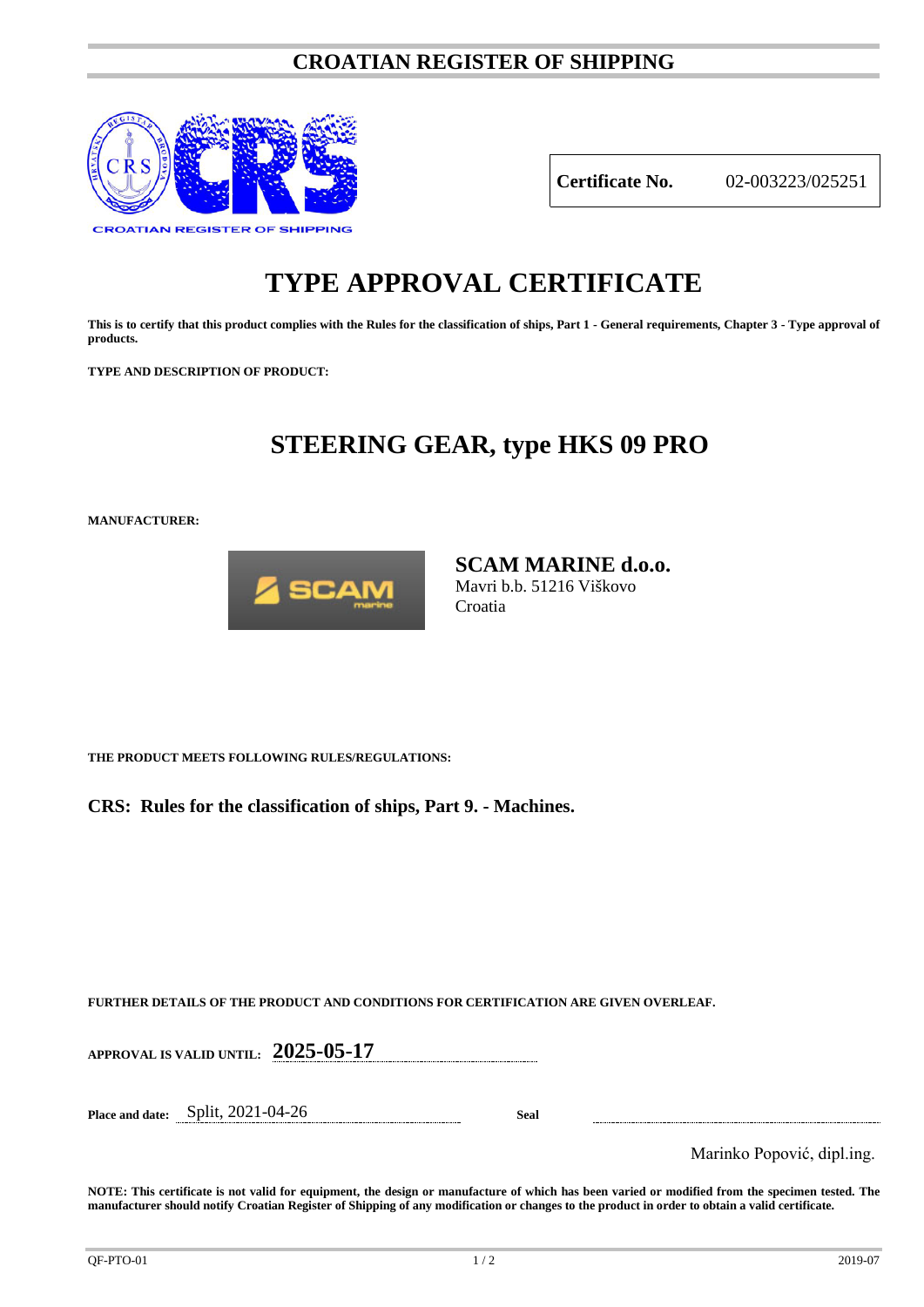### **CROATIAN REGISTER OF SHIPPING**



**Certificate No.** 02-003223/025251

# **TYPE APPROVAL CERTIFICATE**

**This is to certify that this product complies with the Rules for the classification of ships, Part 1 - General requirements, Chapter 3 - Type approval of products.**

**TYPE AND DESCRIPTION OF PRODUCT:** 

## **STEERING GEAR, type HKS 09 PRO**

**MANUFACTURER:**



**SCAM MARINE d.o.o.** Mavri b.b. 51216 Viškovo Croatia

**THE PRODUCT MEETS FOLLOWING RULES/REGULATIONS:**

**CRS: Rules for the classification of ships, Part 9. - Machines.**

**FURTHER DETAILS OF THE PRODUCT AND CONDITIONS FOR CERTIFICATION ARE GIVEN OVERLEAF.**

**APPROVAL IS VALID UNTIL: 2025-05-17**

**Place and date:** Split, 2021-04-26 **Seal**

Marinko Popović, dipl.ing.

**NOTE: This certificate is not valid for equipment, the design or manufacture of which has been varied or modified from the specimen tested. The manufacturer should notify Croatian Register of Shipping of any modification or changes to the product in order to obtain a valid certificate.**